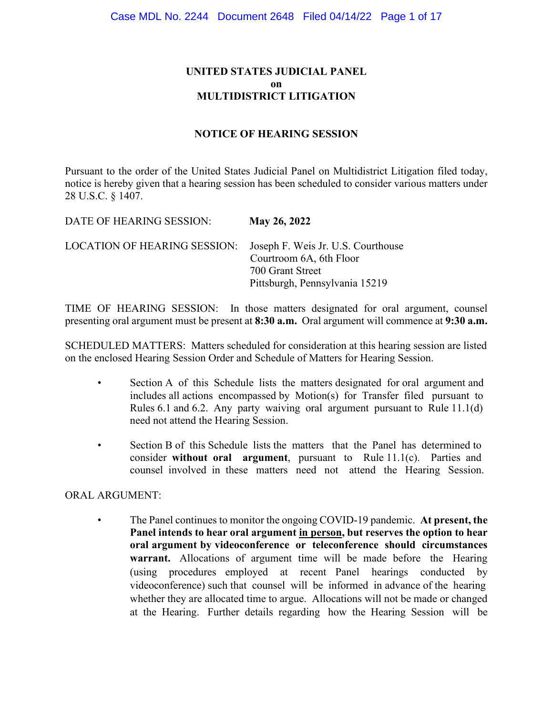# **UNITED STATES JUDICIAL PANEL on MULTIDISTRICT LITIGATION**

## **NOTICE OF HEARING SESSION**

Pursuant to the order of the United States Judicial Panel on Multidistrict Litigation filed today, notice is hereby given that a hearing session has been scheduled to consider various matters under 28 U.S.C. § 1407.

DATE OF HEARING SESSION: **May 26, 2022** LOCATION OF HEARING SESSION: Joseph F. Weis Jr. U.S. Courthouse Courtroom 6A, 6th Floor 700 Grant Street Pittsburgh, Pennsylvania 15219

TIME OF HEARING SESSION: In those matters designated for oral argument, counsel presenting oral argument must be present at **8:30 a.m.** Oral argument will commence at **9:30 a.m.**

SCHEDULED MATTERS: Matters scheduled for consideration at this hearing session are listed on the enclosed Hearing Session Order and Schedule of Matters for Hearing Session.

- Section A of this Schedule lists the matters designated for oral argument and includes all actions encompassed by Motion(s) for Transfer filed pursuant to Rules 6.1 and 6.2. Any party waiving oral argument pursuant to Rule 11.1(d) need not attend the Hearing Session.
- Section B of this Schedule lists the matters that the Panel has determined to consider **without oral argument**, pursuant to Rule 11.1(c). Parties and counsel involved in these matters need not attend the Hearing Session.

### ORAL ARGUMENT:

• The Panel continues to monitor the ongoing COVID-19 pandemic. **At present, the Panel intends to hear oral argument in person, but reserves the option to hear oral argument by videoconference or teleconference should circumstances warrant.** Allocations of argument time will be made before the Hearing (using procedures employed at recent Panel hearings conducted by videoconference) such that counsel will be informed in advance of the hearing whether they are allocated time to argue. Allocations will not be made or changed at the Hearing. Further details regarding how the Hearing Session will be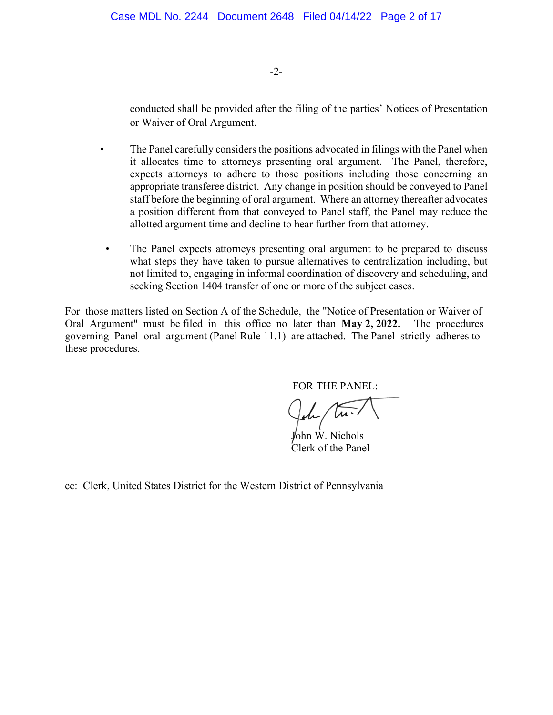-2-

conducted shall be provided after the filing of the parties' Notices of Presentation or Waiver of Oral Argument.

- The Panel carefully considers the positions advocated in filings with the Panel when it allocates time to attorneys presenting oral argument. The Panel, therefore, expects attorneys to adhere to those positions including those concerning an appropriate transferee district. Any change in position should be conveyed to Panel staff before the beginning of oral argument. Where an attorney thereafter advocates a position different from that conveyed to Panel staff, the Panel may reduce the allotted argument time and decline to hear further from that attorney.
- The Panel expects attorneys presenting oral argument to be prepared to discuss what steps they have taken to pursue alternatives to centralization including, but not limited to, engaging in informal coordination of discovery and scheduling, and seeking Section 1404 transfer of one or more of the subject cases.

For those matters listed on Section A of the Schedule, the "Notice of Presentation or Waiver of Oral Argument" must be filed in this office no later than **May 2, 2022.** The procedures governing Panel oral argument (Panel Rule 11.1) are attached. The Panel strictly adheres to these procedures.

FOR THE PANEL:

 $\sqrt{u}$ .

 John W. Nichols Clerk of the Panel

cc: Clerk, United States District for the Western District of Pennsylvania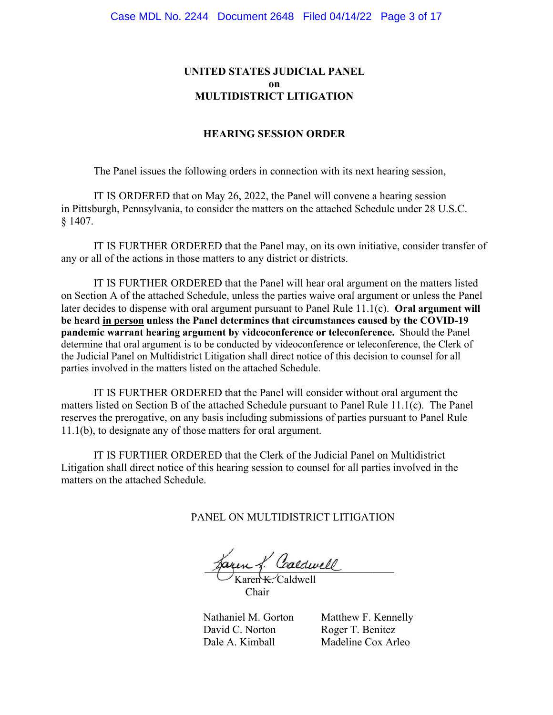# **UNITED STATES JUDICIAL PANEL on MULTIDISTRICT LITIGATION**

#### **HEARING SESSION ORDER**

The Panel issues the following orders in connection with its next hearing session,

IT IS ORDERED that on May 26, 2022, the Panel will convene a hearing session in Pittsburgh, Pennsylvania, to consider the matters on the attached Schedule under 28 U.S.C. § 1407.

IT IS FURTHER ORDERED that the Panel may, on its own initiative, consider transfer of any or all of the actions in those matters to any district or districts.

IT IS FURTHER ORDERED that the Panel will hear oral argument on the matters listed on Section A of the attached Schedule, unless the parties waive oral argument or unless the Panel later decides to dispense with oral argument pursuant to Panel Rule 11.1(c). **Oral argument will be heard in person unless the Panel determines that circumstances caused by the COVID-19 pandemic warrant hearing argument by videoconference or teleconference.** Should the Panel determine that oral argument is to be conducted by videoconference or teleconference, the Clerk of the Judicial Panel on Multidistrict Litigation shall direct notice of this decision to counsel for all parties involved in the matters listed on the attached Schedule.

IT IS FURTHER ORDERED that the Panel will consider without oral argument the matters listed on Section B of the attached Schedule pursuant to Panel Rule 11.1(c). The Panel reserves the prerogative, on any basis including submissions of parties pursuant to Panel Rule 11.1(b), to designate any of those matters for oral argument.

IT IS FURTHER ORDERED that the Clerk of the Judicial Panel on Multidistrict Litigation shall direct notice of this hearing session to counsel for all parties involved in the matters on the attached Schedule.

PANEL ON MULTIDISTRICT LITIGATION

zaren g. Calawell

Karen K. Caldwell Chair

David C. Norton Roger T. Benitez

 Nathaniel M. Gorton Matthew F. Kennelly Dale A. Kimball Madeline Cox Arleo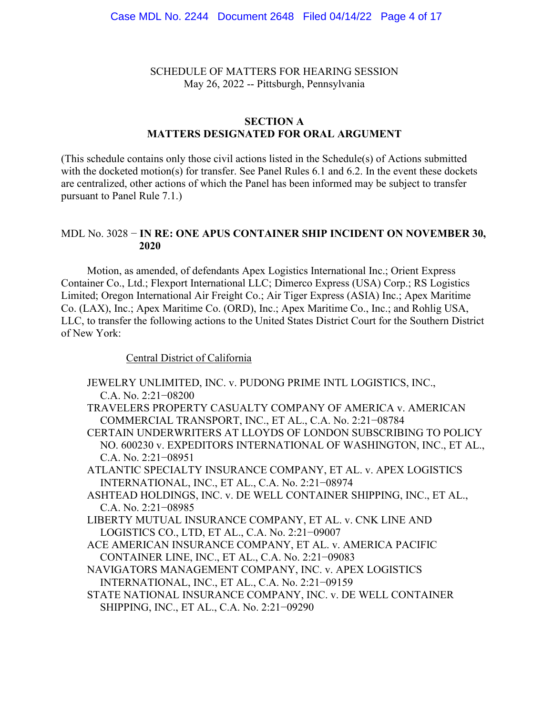SCHEDULE OF MATTERS FOR HEARING SESSION May 26, 2022 -- Pittsburgh, Pennsylvania

# **SECTION A MATTERS DESIGNATED FOR ORAL ARGUMENT**

(This schedule contains only those civil actions listed in the Schedule(s) of Actions submitted with the docketed motion(s) for transfer. See Panel Rules 6.1 and 6.2. In the event these dockets are centralized, other actions of which the Panel has been informed may be subject to transfer pursuant to Panel Rule 7.1.)

#### MDL No. 3028 − **IN RE: ONE APUS CONTAINER SHIP INCIDENT ON NOVEMBER 30, 2020**

Motion, as amended, of defendants Apex Logistics International Inc.; Orient Express Container Co., Ltd.; Flexport International LLC; Dimerco Express (USA) Corp.; RS Logistics Limited; Oregon International Air Freight Co.; Air Tiger Express (ASIA) Inc.; Apex Maritime Co. (LAX), Inc.; Apex Maritime Co. (ORD), Inc.; Apex Maritime Co., Inc.; and Rohlig USA, LLC, to transfer the following actions to the United States District Court for the Southern District of New York:

Central District of California

- JEWELRY UNLIMITED, INC. v. PUDONG PRIME INTL LOGISTICS, INC., C.A. No. 2:21−08200
- TRAVELERS PROPERTY CASUALTY COMPANY OF AMERICA v. AMERICAN COMMERCIAL TRANSPORT, INC., ET AL., C.A. No. 2:21−08784
- CERTAIN UNDERWRITERS AT LLOYDS OF LONDON SUBSCRIBING TO POLICY NO. 600230 v. EXPEDITORS INTERNATIONAL OF WASHINGTON, INC., ET AL., C.A. No. 2:21−08951
- ATLANTIC SPECIALTY INSURANCE COMPANY, ET AL. v. APEX LOGISTICS INTERNATIONAL, INC., ET AL., C.A. No. 2:21−08974
- ASHTEAD HOLDINGS, INC. v. DE WELL CONTAINER SHIPPING, INC., ET AL., C.A. No. 2:21−08985
- LIBERTY MUTUAL INSURANCE COMPANY, ET AL. v. CNK LINE AND LOGISTICS CO., LTD, ET AL., C.A. No. 2:21−09007
- ACE AMERICAN INSURANCE COMPANY, ET AL. v. AMERICA PACIFIC CONTAINER LINE, INC., ET AL., C.A. No. 2:21−09083
- NAVIGATORS MANAGEMENT COMPANY, INC. v. APEX LOGISTICS INTERNATIONAL, INC., ET AL., C.A. No. 2:21−09159
- STATE NATIONAL INSURANCE COMPANY, INC. v. DE WELL CONTAINER SHIPPING, INC., ET AL., C.A. No. 2:21−09290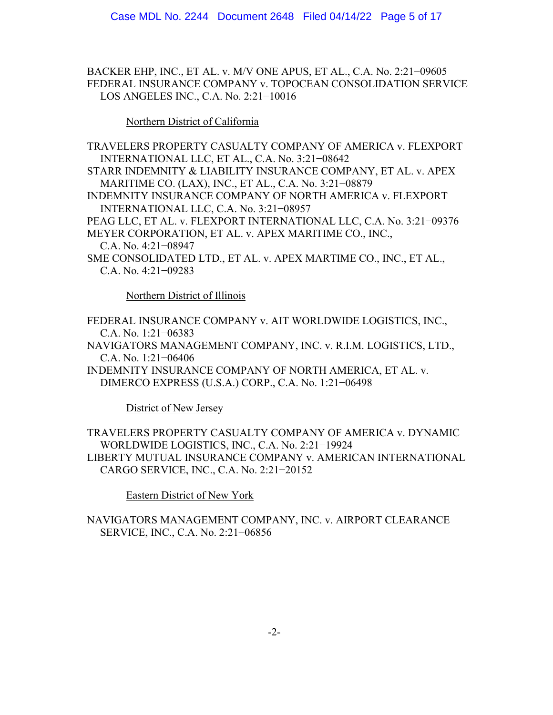BACKER EHP, INC., ET AL. v. M/V ONE APUS, ET AL., C.A. No. 2:21−09605 FEDERAL INSURANCE COMPANY v. TOPOCEAN CONSOLIDATION SERVICE LOS ANGELES INC., C.A. No. 2:21−10016

Northern District of California

TRAVELERS PROPERTY CASUALTY COMPANY OF AMERICA v. FLEXPORT INTERNATIONAL LLC, ET AL., C.A. No. 3:21−08642 STARR INDEMNITY & LIABILITY INSURANCE COMPANY, ET AL. v. APEX MARITIME CO. (LAX), INC., ET AL., C.A. No. 3:21−08879 INDEMNITY INSURANCE COMPANY OF NORTH AMERICA v. FLEXPORT INTERNATIONAL LLC, C.A. No. 3:21−08957 PEAG LLC, ET AL. v. FLEXPORT INTERNATIONAL LLC, C.A. No. 3:21−09376 MEYER CORPORATION, ET AL. v. APEX MARITIME CO., INC., C.A. No. 4:21−08947 SME CONSOLIDATED LTD., ET AL. v. APEX MARTIME CO., INC., ET AL., C.A. No. 4:21−09283

Northern District of Illinois

FEDERAL INSURANCE COMPANY v. AIT WORLDWIDE LOGISTICS, INC., C.A. No. 1:21−06383 NAVIGATORS MANAGEMENT COMPANY, INC. v. R.I.M. LOGISTICS, LTD., C.A. No. 1:21−06406 INDEMNITY INSURANCE COMPANY OF NORTH AMERICA, ET AL. v. DIMERCO EXPRESS (U.S.A.) CORP., C.A. No. 1:21−06498

District of New Jersey

TRAVELERS PROPERTY CASUALTY COMPANY OF AMERICA v. DYNAMIC WORLDWIDE LOGISTICS, INC., C.A. No. 2:21−19924 LIBERTY MUTUAL INSURANCE COMPANY v. AMERICAN INTERNATIONAL CARGO SERVICE, INC., C.A. No. 2:21−20152

Eastern District of New York

NAVIGATORS MANAGEMENT COMPANY, INC. v. AIRPORT CLEARANCE SERVICE, INC., C.A. No. 2:21−06856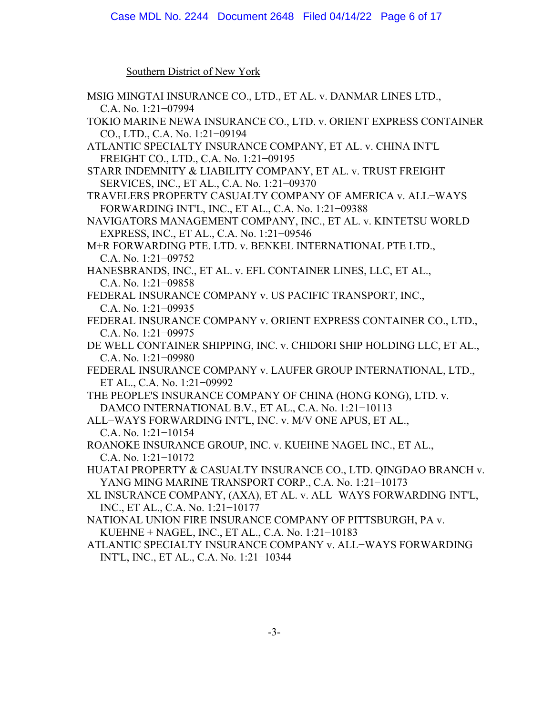Southern District of New York

| MSIG MINGTAI INSURANCE CO., LTD., ET AL. v. DANMAR LINES LTD.,        |
|-----------------------------------------------------------------------|
| C.A. No. 1:21-07994                                                   |
| TOKIO MARINE NEWA INSURANCE CO., LTD. v. ORIENT EXPRESS CONTAINER     |
| CO., LTD., C.A. No. 1:21-09194                                        |
| ATLANTIC SPECIALTY INSURANCE COMPANY, ET AL. v. CHINA INT'L           |
| FREIGHT CO., LTD., C.A. No. 1:21-09195                                |
| STARR INDEMNITY & LIABILITY COMPANY, ET AL. v. TRUST FREIGHT          |
| SERVICES, INC., ET AL., C.A. No. 1:21-09370                           |
| TRAVELERS PROPERTY CASUALTY COMPANY OF AMERICA v. ALL-WAYS            |
| FORWARDING INT'L, INC., ET AL., C.A. No. 1:21-09388                   |
| NAVIGATORS MANAGEMENT COMPANY, INC., ET AL. v. KINTETSU WORLD         |
| EXPRESS, INC., ET AL., C.A. No. 1:21-09546                            |
| M+R FORWARDING PTE. LTD. v. BENKEL INTERNATIONAL PTE LTD.,            |
| C.A. No. $1:21-09752$                                                 |
| HANESBRANDS, INC., ET AL. v. EFL CONTAINER LINES, LLC, ET AL.,        |
| C.A. No. $1:21-09858$                                                 |
| FEDERAL INSURANCE COMPANY v. US PACIFIC TRANSPORT, INC.,              |
| C.A. No. $1:21-09935$                                                 |
| FEDERAL INSURANCE COMPANY v. ORIENT EXPRESS CONTAINER CO., LTD.,      |
| C.A. No. 1:21-09975                                                   |
| DE WELL CONTAINER SHIPPING, INC. v. CHIDORI SHIP HOLDING LLC, ET AL., |
| C.A. No. 1:21-09980                                                   |
| FEDERAL INSURANCE COMPANY v. LAUFER GROUP INTERNATIONAL, LTD.,        |
| ET AL., C.A. No. 1:21-09992                                           |
| THE PEOPLE'S INSURANCE COMPANY OF CHINA (HONG KONG), LTD. v.          |
| DAMCO INTERNATIONAL B.V., ET AL., C.A. No. 1:21-10113                 |
| ALL-WAYS FORWARDING INT'L, INC. v. M/V ONE APUS, ET AL.,              |
| C.A. No. $1:21-10154$                                                 |
| ROANOKE INSURANCE GROUP, INC. v. KUEHNE NAGEL INC., ET AL.,           |
| C.A. No. 1:21-10172                                                   |
| HUATAI PROPERTY & CASUALTY INSURANCE CO., LTD. QINGDAO BRANCH v.      |
| YANG MING MARINE TRANSPORT CORP., C.A. No. 1:21-10173                 |
| XL INSURANCE COMPANY, (AXA), ET AL. v. ALL-WAYS FORWARDING INT'L,     |
| INC., ET AL., C.A. No. 1:21-10177                                     |
| NATIONAL UNION FIRE INSURANCE COMPANY OF PITTSBURGH, PA v.            |
| KUEHNE + NAGEL, INC., ET AL., C.A. No. 1:21-10183                     |
| ATLANTIC SPECIALTY INSURANCE COMPANY v. ALL-WAYS FORWARDING           |
| INT'L, INC., ET AL., C.A. No. 1:21-10344                              |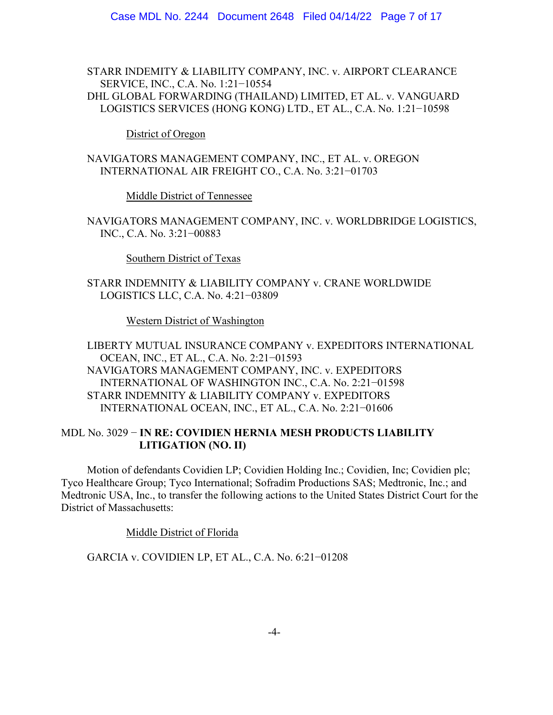STARR INDEMITY & LIABILITY COMPANY, INC. v. AIRPORT CLEARANCE SERVICE, INC., C.A. No. 1:21−10554

DHL GLOBAL FORWARDING (THAILAND) LIMITED, ET AL. v. VANGUARD LOGISTICS SERVICES (HONG KONG) LTD., ET AL., C.A. No. 1:21−10598

District of Oregon

NAVIGATORS MANAGEMENT COMPANY, INC., ET AL. v. OREGON INTERNATIONAL AIR FREIGHT CO., C.A. No. 3:21−01703

Middle District of Tennessee

NAVIGATORS MANAGEMENT COMPANY, INC. v. WORLDBRIDGE LOGISTICS, INC., C.A. No. 3:21−00883

Southern District of Texas

STARR INDEMNITY & LIABILITY COMPANY v. CRANE WORLDWIDE LOGISTICS LLC, C.A. No. 4:21−03809

Western District of Washington

LIBERTY MUTUAL INSURANCE COMPANY v. EXPEDITORS INTERNATIONAL OCEAN, INC., ET AL., C.A. No. 2:21−01593 NAVIGATORS MANAGEMENT COMPANY, INC. v. EXPEDITORS INTERNATIONAL OF WASHINGTON INC., C.A. No. 2:21−01598 STARR INDEMNITY & LIABILITY COMPANY v. EXPEDITORS INTERNATIONAL OCEAN, INC., ET AL., C.A. No. 2:21−01606

# MDL No. 3029 − **IN RE: COVIDIEN HERNIA MESH PRODUCTS LIABILITY LITIGATION (NO. II)**

Motion of defendants Covidien LP; Covidien Holding Inc.; Covidien, Inc; Covidien plc; Tyco Healthcare Group; Tyco International; Sofradim Productions SAS; Medtronic, Inc.; and Medtronic USA, Inc., to transfer the following actions to the United States District Court for the District of Massachusetts:

Middle District of Florida

GARCIA v. COVIDIEN LP, ET AL., C.A. No. 6:21−01208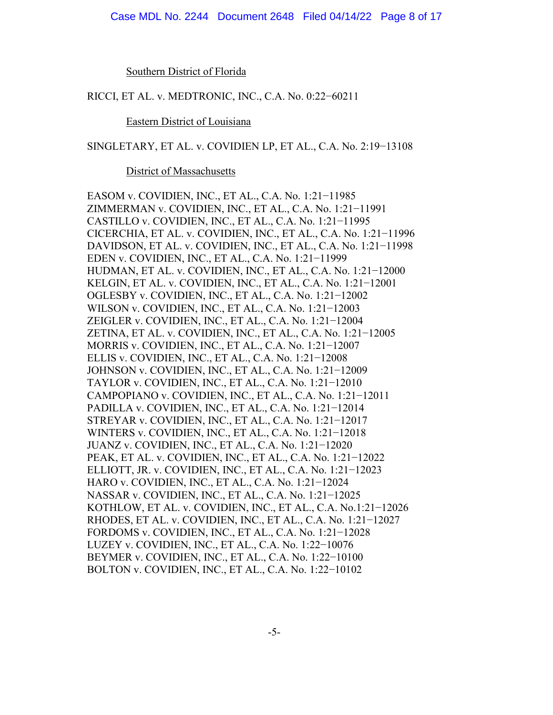Southern District of Florida

RICCI, ET AL. v. MEDTRONIC, INC., C.A. No. 0:22−60211

Eastern District of Louisiana

SINGLETARY, ET AL. v. COVIDIEN LP, ET AL., C.A. No. 2:19−13108

District of Massachusetts

EASOM v. COVIDIEN, INC., ET AL., C.A. No. 1:21−11985 ZIMMERMAN v. COVIDIEN, INC., ET AL., C.A. No. 1:21−11991 CASTILLO v. COVIDIEN, INC., ET AL., C.A. No. 1:21−11995 CICERCHIA, ET AL. v. COVIDIEN, INC., ET AL., C.A. No. 1:21−11996 DAVIDSON, ET AL. v. COVIDIEN, INC., ET AL., C.A. No. 1:21−11998 EDEN v. COVIDIEN, INC., ET AL., C.A. No. 1:21−11999 HUDMAN, ET AL. v. COVIDIEN, INC., ET AL., C.A. No. 1:21−12000 KELGIN, ET AL. v. COVIDIEN, INC., ET AL., C.A. No. 1:21−12001 OGLESBY v. COVIDIEN, INC., ET AL., C.A. No. 1:21−12002 WILSON v. COVIDIEN, INC., ET AL., C.A. No. 1:21−12003 ZEIGLER v. COVIDIEN, INC., ET AL., C.A. No. 1:21−12004 ZETINA, ET AL. v. COVIDIEN, INC., ET AL., C.A. No. 1:21−12005 MORRIS v. COVIDIEN, INC., ET AL., C.A. No. 1:21−12007 ELLIS v. COVIDIEN, INC., ET AL., C.A. No. 1:21−12008 JOHNSON v. COVIDIEN, INC., ET AL., C.A. No. 1:21−12009 TAYLOR v. COVIDIEN, INC., ET AL., C.A. No. 1:21−12010 CAMPOPIANO v. COVIDIEN, INC., ET AL., C.A. No. 1:21−12011 PADILLA v. COVIDIEN, INC., ET AL., C.A. No. 1:21−12014 STREYAR v. COVIDIEN, INC., ET AL., C.A. No. 1:21−12017 WINTERS v. COVIDIEN, INC., ET AL., C.A. No. 1:21−12018 JUANZ v. COVIDIEN, INC., ET AL., C.A. No. 1:21−12020 PEAK, ET AL. v. COVIDIEN, INC., ET AL., C.A. No. 1:21−12022 ELLIOTT, JR. v. COVIDIEN, INC., ET AL., C.A. No. 1:21−12023 HARO v. COVIDIEN, INC., ET AL., C.A. No. 1:21−12024 NASSAR v. COVIDIEN, INC., ET AL., C.A. No. 1:21−12025 KOTHLOW, ET AL. v. COVIDIEN, INC., ET AL., C.A. No.1:21−12026 RHODES, ET AL. v. COVIDIEN, INC., ET AL., C.A. No. 1:21−12027 FORDOMS v. COVIDIEN, INC., ET AL., C.A. No. 1:21−12028 LUZEY v. COVIDIEN, INC., ET AL., C.A. No. 1:22−10076 BEYMER v. COVIDIEN, INC., ET AL., C.A. No. 1:22−10100 BOLTON v. COVIDIEN, INC., ET AL., C.A. No. 1:22−10102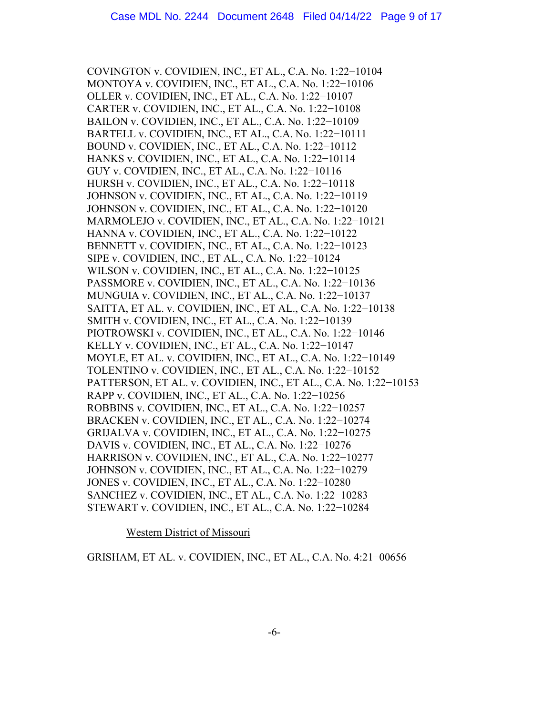COVINGTON v. COVIDIEN, INC., ET AL., C.A. No. 1:22−10104 MONTOYA v. COVIDIEN, INC., ET AL., C.A. No. 1:22−10106 OLLER v. COVIDIEN, INC., ET AL., C.A. No. 1:22−10107 CARTER v. COVIDIEN, INC., ET AL., C.A. No. 1:22−10108 BAILON v. COVIDIEN, INC., ET AL., C.A. No. 1:22−10109 BARTELL v. COVIDIEN, INC., ET AL., C.A. No. 1:22−10111 BOUND v. COVIDIEN, INC., ET AL., C.A. No. 1:22−10112 HANKS v. COVIDIEN, INC., ET AL., C.A. No. 1:22−10114 GUY v. COVIDIEN, INC., ET AL., C.A. No. 1:22−10116 HURSH v. COVIDIEN, INC., ET AL., C.A. No. 1:22−10118 JOHNSON v. COVIDIEN, INC., ET AL., C.A. No. 1:22−10119 JOHNSON v. COVIDIEN, INC., ET AL., C.A. No. 1:22−10120 MARMOLEJO v. COVIDIEN, INC., ET AL., C.A. No. 1:22−10121 HANNA v. COVIDIEN, INC., ET AL., C.A. No. 1:22−10122 BENNETT v. COVIDIEN, INC., ET AL., C.A. No. 1:22−10123 SIPE v. COVIDIEN, INC., ET AL., C.A. No. 1:22−10124 WILSON v. COVIDIEN, INC., ET AL., C.A. No. 1:22−10125 PASSMORE v. COVIDIEN, INC., ET AL., C.A. No. 1:22−10136 MUNGUIA v. COVIDIEN, INC., ET AL., C.A. No. 1:22−10137 SAITTA, ET AL. v. COVIDIEN, INC., ET AL., C.A. No. 1:22−10138 SMITH v. COVIDIEN, INC., ET AL., C.A. No. 1:22−10139 PIOTROWSKI v. COVIDIEN, INC., ET AL., C.A. No. 1:22−10146 KELLY v. COVIDIEN, INC., ET AL., C.A. No. 1:22−10147 MOYLE, ET AL. v. COVIDIEN, INC., ET AL., C.A. No. 1:22−10149 TOLENTINO v. COVIDIEN, INC., ET AL., C.A. No. 1:22−10152 PATTERSON, ET AL. v. COVIDIEN, INC., ET AL., C.A. No. 1:22−10153 RAPP v. COVIDIEN, INC., ET AL., C.A. No. 1:22−10256 ROBBINS v. COVIDIEN, INC., ET AL., C.A. No. 1:22−10257 BRACKEN v. COVIDIEN, INC., ET AL., C.A. No. 1:22−10274 GRIJALVA v. COVIDIEN, INC., ET AL., C.A. No. 1:22−10275 DAVIS v. COVIDIEN, INC., ET AL., C.A. No. 1:22−10276 HARRISON v. COVIDIEN, INC., ET AL., C.A. No. 1:22−10277 JOHNSON v. COVIDIEN, INC., ET AL., C.A. No. 1:22−10279 JONES v. COVIDIEN, INC., ET AL., C.A. No. 1:22−10280 SANCHEZ v. COVIDIEN, INC., ET AL., C.A. No. 1:22-10283 STEWART v. COVIDIEN, INC., ET AL., C.A. No. 1:22−10284

Western District of Missouri

GRISHAM, ET AL. v. COVIDIEN, INC., ET AL., C.A. No. 4:21−00656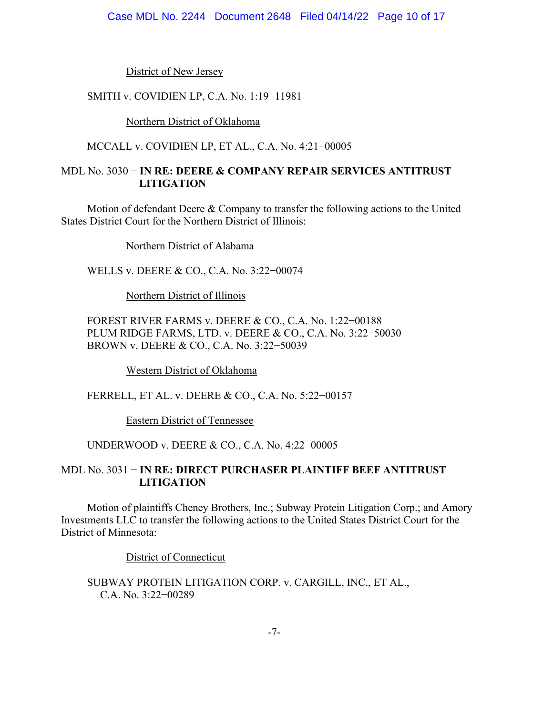District of New Jersey

SMITH v. COVIDIEN LP, C.A. No. 1:19−11981

Northern District of Oklahoma

MCCALL v. COVIDIEN LP, ET AL., C.A. No. 4:21−00005

# MDL No. 3030 − **IN RE: DEERE & COMPANY REPAIR SERVICES ANTITRUST LITIGATION**

Motion of defendant Deere & Company to transfer the following actions to the United States District Court for the Northern District of Illinois:

Northern District of Alabama

WELLS v. DEERE & CO., C.A. No. 3:22−00074

Northern District of Illinois

FOREST RIVER FARMS v. DEERE & CO., C.A. No. 1:22−00188 PLUM RIDGE FARMS, LTD. v. DEERE & CO., C.A. No. 3:22−50030 BROWN v. DEERE & CO., C.A. No. 3:22−50039

Western District of Oklahoma

FERRELL, ET AL. v. DEERE & CO., C.A. No. 5:22−00157

Eastern District of Tennessee

UNDERWOOD v. DEERE & CO., C.A. No. 4:22−00005

# MDL No. 3031 − **IN RE: DIRECT PURCHASER PLAINTIFF BEEF ANTITRUST LITIGATION**

Motion of plaintiffs Cheney Brothers, Inc.; Subway Protein Litigation Corp.; and Amory Investments LLC to transfer the following actions to the United States District Court for the District of Minnesota:

District of Connecticut

SUBWAY PROTEIN LITIGATION CORP. v. CARGILL, INC., ET AL., C.A. No. 3:22−00289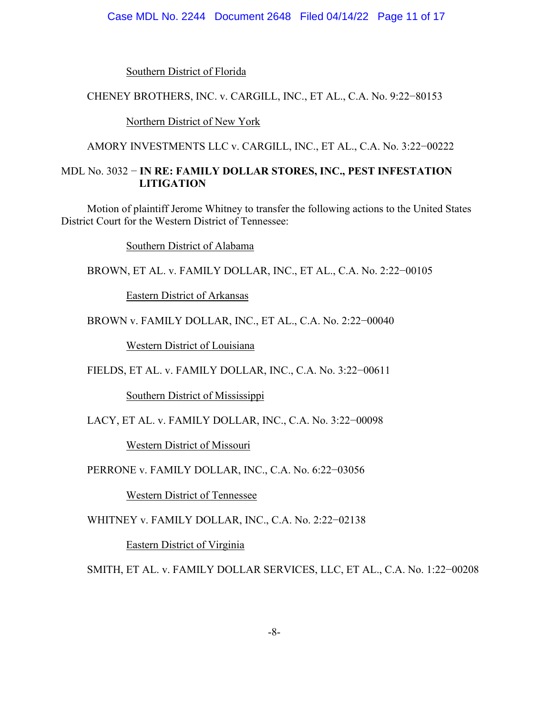#### Case MDL No. 2244 Document 2648 Filed 04/14/22 Page 11 of 17

Southern District of Florida

### CHENEY BROTHERS, INC. v. CARGILL, INC., ET AL., C.A. No. 9:22−80153

Northern District of New York

AMORY INVESTMENTS LLC v. CARGILL, INC., ET AL., C.A. No. 3:22−00222

### MDL No. 3032 − **IN RE: FAMILY DOLLAR STORES, INC., PEST INFESTATION LITIGATION**

Motion of plaintiff Jerome Whitney to transfer the following actions to the United States District Court for the Western District of Tennessee:

Southern District of Alabama

BROWN, ET AL. v. FAMILY DOLLAR, INC., ET AL., C.A. No. 2:22−00105

Eastern District of Arkansas

BROWN v. FAMILY DOLLAR, INC., ET AL., C.A. No. 2:22−00040

Western District of Louisiana

FIELDS, ET AL. v. FAMILY DOLLAR, INC., C.A. No. 3:22−00611

Southern District of Mississippi

LACY, ET AL. v. FAMILY DOLLAR, INC., C.A. No. 3:22−00098

Western District of Missouri

PERRONE v. FAMILY DOLLAR, INC., C.A. No. 6:22−03056

Western District of Tennessee

WHITNEY v. FAMILY DOLLAR, INC., C.A. No. 2:22−02138

Eastern District of Virginia

SMITH, ET AL. v. FAMILY DOLLAR SERVICES, LLC, ET AL., C.A. No. 1:22−00208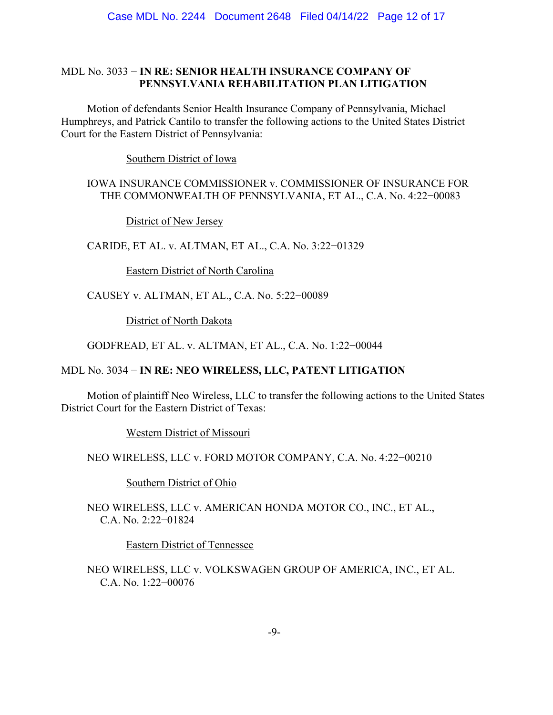## MDL No. 3033 − **IN RE: SENIOR HEALTH INSURANCE COMPANY OF PENNSYLVANIA REHABILITATION PLAN LITIGATION**

Motion of defendants Senior Health Insurance Company of Pennsylvania, Michael Humphreys, and Patrick Cantilo to transfer the following actions to the United States District Court for the Eastern District of Pennsylvania:

Southern District of Iowa

# IOWA INSURANCE COMMISSIONER v. COMMISSIONER OF INSURANCE FOR THE COMMONWEALTH OF PENNSYLVANIA, ET AL., C.A. No. 4:22−00083

District of New Jersey

CARIDE, ET AL. v. ALTMAN, ET AL., C.A. No. 3:22−01329

Eastern District of North Carolina

CAUSEY v. ALTMAN, ET AL., C.A. No. 5:22−00089

District of North Dakota

GODFREAD, ET AL. v. ALTMAN, ET AL., C.A. No. 1:22−00044

# MDL No. 3034 − **IN RE: NEO WIRELESS, LLC, PATENT LITIGATION**

Motion of plaintiff Neo Wireless, LLC to transfer the following actions to the United States District Court for the Eastern District of Texas:

Western District of Missouri

NEO WIRELESS, LLC v. FORD MOTOR COMPANY, C.A. No. 4:22−00210

Southern District of Ohio

NEO WIRELESS, LLC v. AMERICAN HONDA MOTOR CO., INC., ET AL., C.A. No. 2:22−01824

Eastern District of Tennessee

NEO WIRELESS, LLC v. VOLKSWAGEN GROUP OF AMERICA, INC., ET AL. C.A. No. 1:22−00076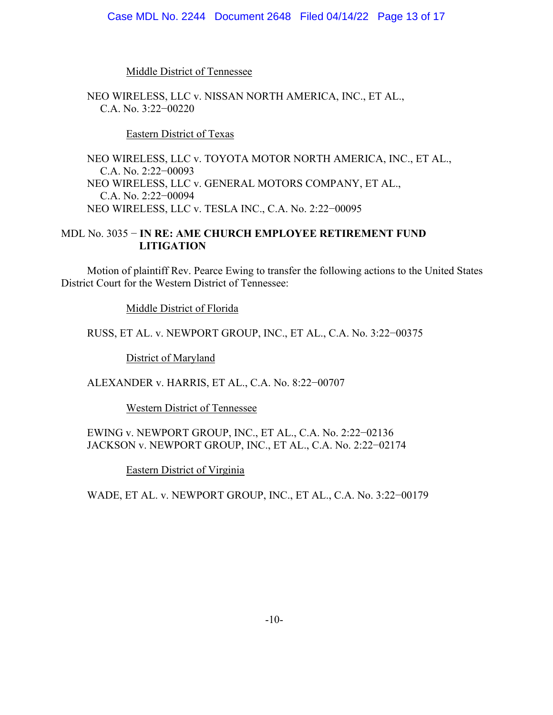#### Case MDL No. 2244 Document 2648 Filed 04/14/22 Page 13 of 17

Middle District of Tennessee

NEO WIRELESS, LLC v. NISSAN NORTH AMERICA, INC., ET AL., C.A. No. 3:22−00220

Eastern District of Texas

NEO WIRELESS, LLC v. TOYOTA MOTOR NORTH AMERICA, INC., ET AL., C.A. No. 2:22−00093 NEO WIRELESS, LLC v. GENERAL MOTORS COMPANY, ET AL., C.A. No. 2:22−00094 NEO WIRELESS, LLC v. TESLA INC., C.A. No. 2:22−00095

## MDL No. 3035 − **IN RE: AME CHURCH EMPLOYEE RETIREMENT FUND LITIGATION**

Motion of plaintiff Rev. Pearce Ewing to transfer the following actions to the United States District Court for the Western District of Tennessee:

Middle District of Florida

RUSS, ET AL. v. NEWPORT GROUP, INC., ET AL., C.A. No. 3:22−00375

District of Maryland

ALEXANDER v. HARRIS, ET AL., C.A. No. 8:22−00707

Western District of Tennessee

EWING v. NEWPORT GROUP, INC., ET AL., C.A. No. 2:22−02136 JACKSON v. NEWPORT GROUP, INC., ET AL., C.A. No. 2:22−02174

Eastern District of Virginia

WADE, ET AL. v. NEWPORT GROUP, INC., ET AL., C.A. No. 3:22−00179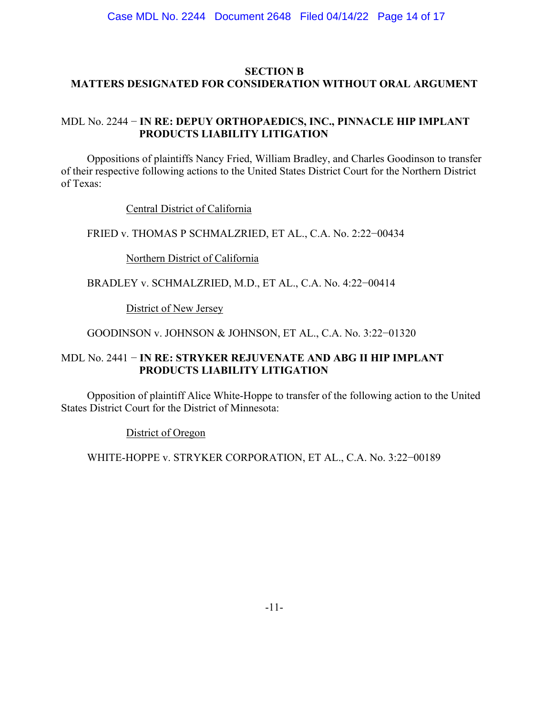## **SECTION B MATTERS DESIGNATED FOR CONSIDERATION WITHOUT ORAL ARGUMENT**

# MDL No. 2244 − **IN RE: DEPUY ORTHOPAEDICS, INC., PINNACLE HIP IMPLANT PRODUCTS LIABILITY LITIGATION**

Oppositions of plaintiffs Nancy Fried, William Bradley, and Charles Goodinson to transfer of their respective following actions to the United States District Court for the Northern District of Texas:

Central District of California

FRIED v. THOMAS P SCHMALZRIED, ET AL., C.A. No. 2:22−00434

Northern District of California

BRADLEY v. SCHMALZRIED, M.D., ET AL., C.A. No. 4:22−00414

District of New Jersey

GOODINSON v. JOHNSON & JOHNSON, ET AL., C.A. No. 3:22−01320

# MDL No. 2441 − **IN RE: STRYKER REJUVENATE AND ABG II HIP IMPLANT PRODUCTS LIABILITY LITIGATION**

Opposition of plaintiff Alice White-Hoppe to transfer of the following action to the United States District Court for the District of Minnesota:

District of Oregon

WHITE-HOPPE v. STRYKER CORPORATION, ET AL., C.A. No. 3:22−00189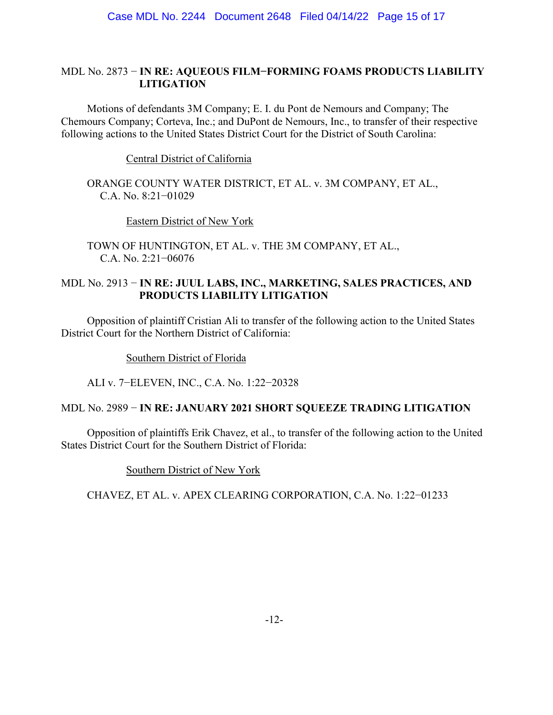## MDL No. 2873 − **IN RE: AQUEOUS FILM−FORMING FOAMS PRODUCTS LIABILITY LITIGATION**

Motions of defendants 3M Company; E. I. du Pont de Nemours and Company; The Chemours Company; Corteva, Inc.; and DuPont de Nemours, Inc., to transfer of their respective following actions to the United States District Court for the District of South Carolina:

Central District of California

ORANGE COUNTY WATER DISTRICT, ET AL. v. 3M COMPANY, ET AL., C.A. No. 8:21−01029

Eastern District of New York

TOWN OF HUNTINGTON, ET AL. v. THE 3M COMPANY, ET AL., C.A. No. 2:21−06076

# MDL No. 2913 − **IN RE: JUUL LABS, INC., MARKETING, SALES PRACTICES, AND PRODUCTS LIABILITY LITIGATION**

Opposition of plaintiff Cristian Ali to transfer of the following action to the United States District Court for the Northern District of California:

Southern District of Florida

ALI v. 7−ELEVEN, INC., C.A. No. 1:22−20328

### MDL No. 2989 − **IN RE: JANUARY 2021 SHORT SQUEEZE TRADING LITIGATION**

Opposition of plaintiffs Erik Chavez, et al., to transfer of the following action to the United States District Court for the Southern District of Florida:

Southern District of New York

CHAVEZ, ET AL. v. APEX CLEARING CORPORATION, C.A. No. 1:22−01233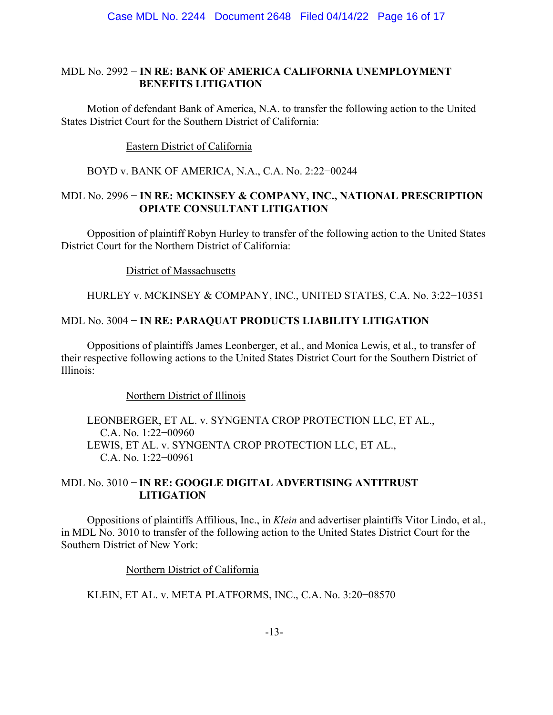### MDL No. 2992 − **IN RE: BANK OF AMERICA CALIFORNIA UNEMPLOYMENT BENEFITS LITIGATION**

Motion of defendant Bank of America, N.A. to transfer the following action to the United States District Court for the Southern District of California:

Eastern District of California

BOYD v. BANK OF AMERICA, N.A., C.A. No. 2:22−00244

## MDL No. 2996 − **IN RE: MCKINSEY & COMPANY, INC., NATIONAL PRESCRIPTION OPIATE CONSULTANT LITIGATION**

Opposition of plaintiff Robyn Hurley to transfer of the following action to the United States District Court for the Northern District of California:

District of Massachusetts

HURLEY v. MCKINSEY & COMPANY, INC., UNITED STATES, C.A. No. 3:22−10351

# MDL No. 3004 − **IN RE: PARAQUAT PRODUCTS LIABILITY LITIGATION**

Oppositions of plaintiffs James Leonberger, et al., and Monica Lewis, et al., to transfer of their respective following actions to the United States District Court for the Southern District of Illinois:

Northern District of Illinois

LEONBERGER, ET AL. v. SYNGENTA CROP PROTECTION LLC, ET AL., C.A. No. 1:22−00960 LEWIS, ET AL. v. SYNGENTA CROP PROTECTION LLC, ET AL., C.A. No. 1:22−00961

# MDL No. 3010 − **IN RE: GOOGLE DIGITAL ADVERTISING ANTITRUST LITIGATION**

Oppositions of plaintiffs Affilious, Inc., in *Klein* and advertiser plaintiffs Vitor Lindo, et al., in MDL No. 3010 to transfer of the following action to the United States District Court for the Southern District of New York:

Northern District of California

KLEIN, ET AL. v. META PLATFORMS, INC., C.A. No. 3:20−08570